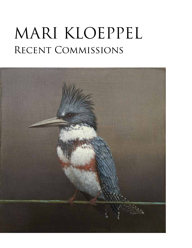## MARI KLOEPPEL RECENT COMMISSIONS

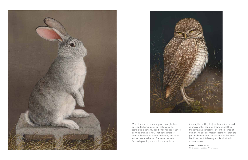thoroughly, looking for just the right pose and expression that captures their personalities, thoughts, and sometimes even their sense of humor. The species matters less to her than the personal connection she shares with the animal. For Kloeppel, it is beauty and familiarity that resonate most.

Scott A. Shields, PH. D. Chief Curator, Crocker Art Museum





Mari Kloeppel is drawn to paint through sheer passion for her subjects-animals. While her technique is certainly traditional, her approach to painting animals is not. That her animals are beautiful is nothing new to art history, but these animals are also heroic. These are portraits. For each painting she studies her subjects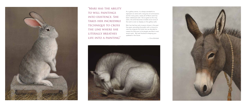As a gallery owner, it is always wonderful to represent an artist with a long line of commissions and for many years, nearly all of Mari's work has been indeed pre-sold. But as great as this may seem, the artist becomes invisible since none of the work is ever on display on the gallery walls.

Mari has had two solo museum shows in the past five years, providing the public with a chance to view the originals first hand, but we decided to create this fold over to let people see Mari's most recent work. We look forward to keeping you updated in the future.

— Chris Winfield





"Mari has the ability to will paintings into existence. She takes her incredible TECHNIQUE TO CROSS the line where she literally breathes life into a painting"